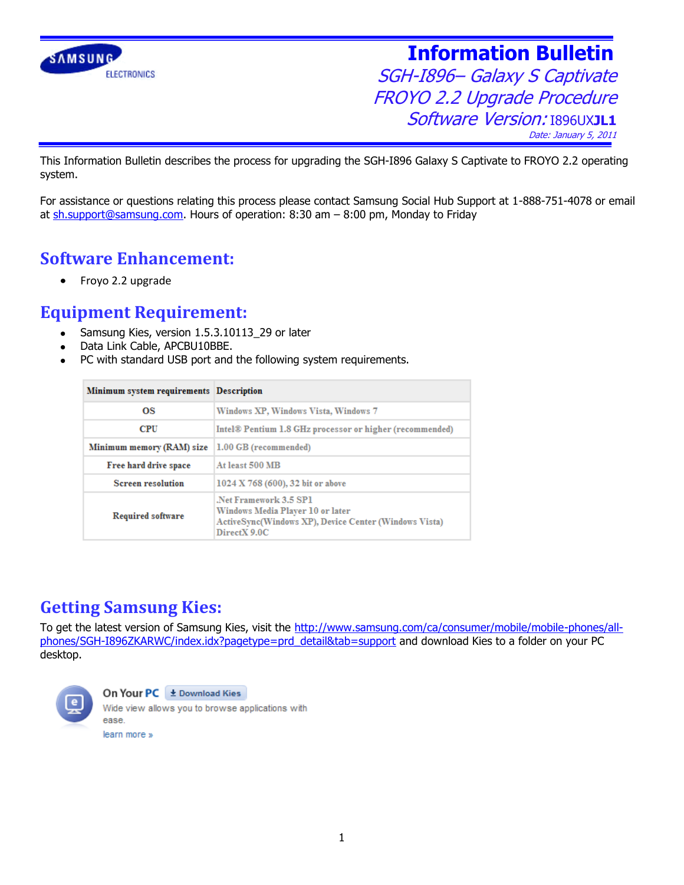

SGH-I896– Galaxy S Captivate FROYO 2.2 Upgrade Procedure Software Version: I896UX**JL1** Date: January 5, 2011

This Information Bulletin describes the process for upgrading the SGH-I896 Galaxy S Captivate to FROYO 2.2 operating system.

For assistance or questions relating this process please contact Samsung Social Hub Support at 1-888-751-4078 or email at [sh.support@samsung.com.](mailto:sh.support@samsung.com) Hours of operation: 8:30 am – 8:00 pm, Monday to Friday

#### **Software Enhancement:**

Froyo 2.2 upgrade  $\bullet$ 

#### **Equipment Requirement:**

- Samsung Kies, version 1.5.3.10113\_29 or later
- Data Link Cable, APCBU10BBE.
- PC with standard USB port and the following system requirements.

| Minimum system requirements Description |                                                                                                                                           |
|-----------------------------------------|-------------------------------------------------------------------------------------------------------------------------------------------|
| ΩS                                      | Windows XP, Windows Vista, Windows 7                                                                                                      |
| <b>CPU</b>                              | Intel <sup>®</sup> Pentium 1.8 GHz processor or higher (recommended)                                                                      |
| Minimum memory (RAM) size               | $ 1.00$ GB (recommended)                                                                                                                  |
| Free hard drive space                   | At least 500 MB                                                                                                                           |
| <b>Screen resolution</b>                | 1024 X 768 (600), 32 bit or above                                                                                                         |
| <b>Required software</b>                | Net Framework 3.5 SP1<br>Windows Media Player 10 or later<br><b>ActiveSync(Windows XP), Device Center (Windows Vista)</b><br>DirectX 9.0C |

### **Getting Samsung Kies:**

To get the latest version of Samsung Kies, visit the [http://www.samsung.com/ca/consumer/mobile/mobile-phones/all](http://www.samsung.com/ca/consumer/mobile/mobile-phones/all-phones/SGH-I896ZKARWC/index.idx?pagetype=prd_detail&tab=support)[phones/SGH-I896ZKARWC/index.idx?pagetype=prd\\_detail&tab=support](http://www.samsung.com/ca/consumer/mobile/mobile-phones/all-phones/SGH-I896ZKARWC/index.idx?pagetype=prd_detail&tab=support) and download Kies to a folder on your PC desktop.



#### On Your PC ± Download Kies

Wide view allows you to browse applications with ease. learn more »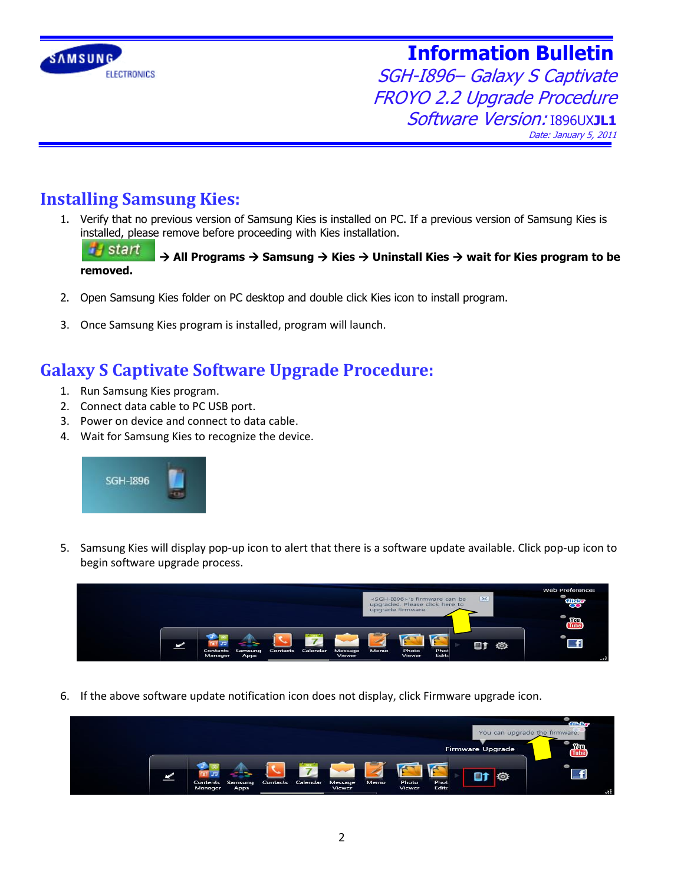

SGH-I896– Galaxy S Captivate FROYO 2.2 Upgrade Procedure Software Version: I896UX**JL1** Date: January 5, 2011

### **Installing Samsung Kies:**

1. Verify that no previous version of Samsung Kies is installed on PC. If a previous version of Samsung Kies is installed, please remove before proceeding with Kies installation.

**B** start  $\rightarrow$  **All Programs**  $\rightarrow$  **Samsung**  $\rightarrow$  **Kies**  $\rightarrow$  **Uninstall Kies**  $\rightarrow$  **wait for Kies program to be removed.**

- 2. Open Samsung Kies folder on PC desktop and double click Kies icon to install program.
- 3. Once Samsung Kies program is installed, program will launch.

#### **Galaxy S Captivate Software Upgrade Procedure:**

- 1. Run Samsung Kies program.
- 2. Connect data cable to PC USB port.
- 3. Power on device and connect to data cable.
- 4. Wait for Samsung Kies to recognize the device.



5. Samsung Kies will display pop-up icon to alert that there is a software update available. Click pop-up icon to begin software upgrade process.



6. If the above software update notification icon does not display, click Firmware upgrade icon.

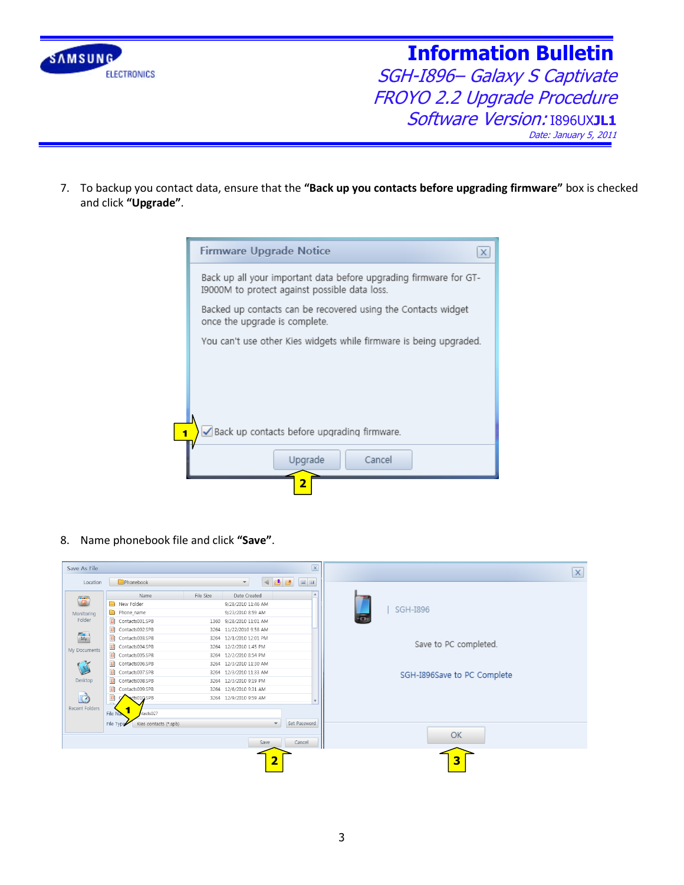

SGH-I896– Galaxy S Captivate FROYO 2.2 Upgrade Procedure Software Version: I896UX**JL1** Date: January 5, 2011

7. To backup you contact data, ensure that the **"Back up you contacts before upgrading firmware"** box is checked and click **"Upgrade"**.

|   | <b>Firmware Upgrade Notice</b><br>x                                                                                |
|---|--------------------------------------------------------------------------------------------------------------------|
|   | Back up all your important data before upgrading firmware for GT-<br>I9000M to protect against possible data loss. |
|   | Backed up contacts can be recovered using the Contacts widget<br>once the upgrade is complete.                     |
|   | You can't use other Kies widgets while firmware is being upgraded.                                                 |
|   |                                                                                                                    |
|   |                                                                                                                    |
|   |                                                                                                                    |
| я | Back up contacts before upgrading firmware.                                                                        |
|   | Upgrade<br>Cancel                                                                                                  |
|   | 2                                                                                                                  |

8. Name phonebook file and click **"Save"**.

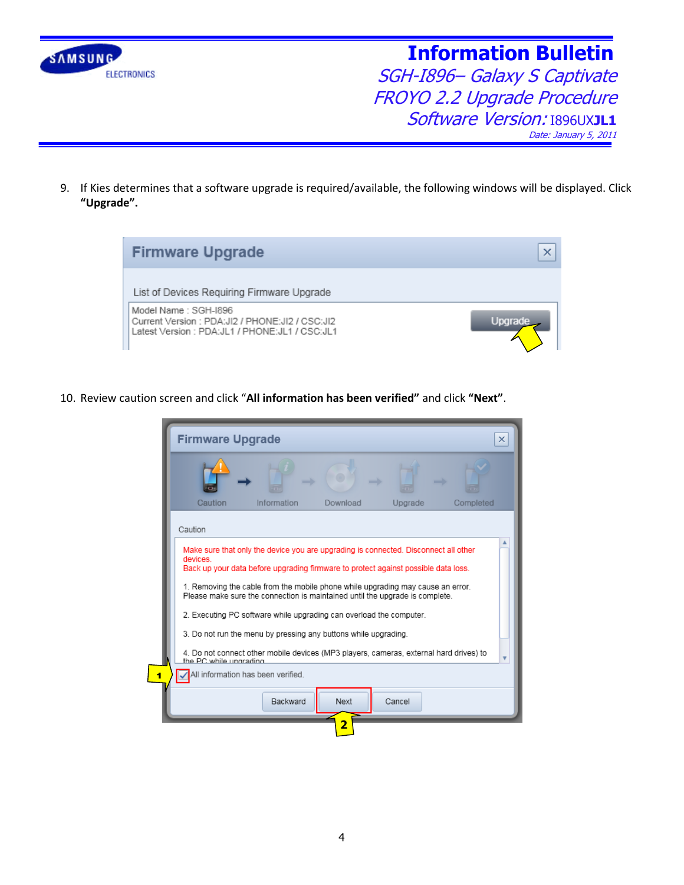

SGH-I896– Galaxy S Captivate FROYO 2.2 Upgrade Procedure Software Version: I896UX**JL1** Date: January 5, 2011

9. If Kies determines that a software upgrade is required/available, the following windows will be displayed. Click **"Upgrade".**



10. Review caution screen and click "**All information has been verified"** and click **"Next"**.

|                                                                                                                  | <b>Firmware Upgrade</b> |                                                                                     |          |         |           |
|------------------------------------------------------------------------------------------------------------------|-------------------------|-------------------------------------------------------------------------------------|----------|---------|-----------|
|                                                                                                                  |                         |                                                                                     |          |         |           |
|                                                                                                                  | Caution                 | Information                                                                         | Download | Upgrade | Completed |
|                                                                                                                  |                         |                                                                                     |          |         |           |
|                                                                                                                  | Caution                 |                                                                                     |          |         |           |
|                                                                                                                  |                         | Make sure that only the device you are upgrading is connected. Disconnect all other |          |         |           |
|                                                                                                                  | devices                 |                                                                                     |          |         |           |
|                                                                                                                  |                         | Back up your data before upgrading firmware to protect against possible data loss.  |          |         |           |
| 1. Removing the cable from the mobile phone while upgrading may cause an error.                                  |                         |                                                                                     |          |         |           |
|                                                                                                                  |                         | Please make sure the connection is maintained until the upgrade is complete.        |          |         |           |
|                                                                                                                  |                         | 2. Executing PC software while upgrading can overload the computer.                 |          |         |           |
|                                                                                                                  |                         |                                                                                     |          |         |           |
|                                                                                                                  |                         | 3. Do not run the menu by pressing any buttons while upgrading.                     |          |         |           |
| 4. Do not connect other mobile devices (MP3 players, cameras, external hard drives) to<br>the PC while ungrading |                         |                                                                                     |          |         |           |
|                                                                                                                  |                         |                                                                                     |          |         |           |
|                                                                                                                  |                         | All information has been verified.                                                  |          |         |           |
|                                                                                                                  |                         |                                                                                     |          |         |           |
|                                                                                                                  |                         |                                                                                     |          |         |           |
|                                                                                                                  |                         | Backward                                                                            | Next     | Cancel  |           |
|                                                                                                                  |                         |                                                                                     | 2        |         |           |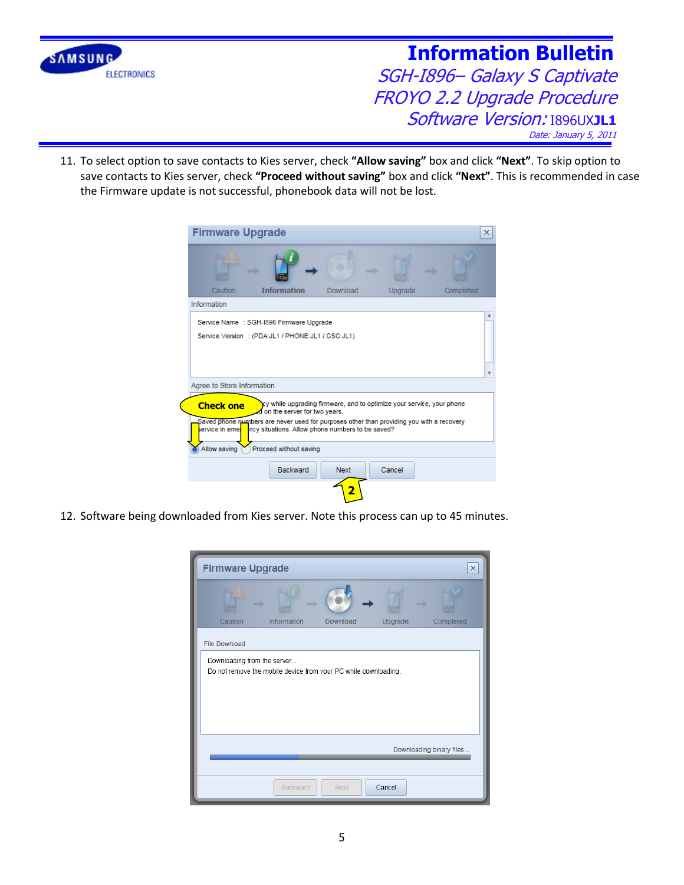

SGH-I896– Galaxy S Captivate FROYO 2.2 Upgrade Procedure Software Version: I896UX**JL1** Date: January 5, 2011

11. To select option to save contacts to Kies server, check **"Allow saving"** box and click **"Next"**. To skip option to save contacts to Kies server, check **"Proceed without saving"** box and click **"Next"**. This is recommended in case the Firmware update is not successful, phonebook data will not be lost.

| <b>Firmware Upgrade</b>    |                                                                                                                                                                                                                               |                                                                       |         |           | $\times$ |
|----------------------------|-------------------------------------------------------------------------------------------------------------------------------------------------------------------------------------------------------------------------------|-----------------------------------------------------------------------|---------|-----------|----------|
|                            | mark of the local division in the contract of the contract of the contract of the contract of the contract of the contract of the contract of the contract of the contract of the contract of the contract of the contract of |                                                                       |         |           |          |
| Caution                    | <b>Information</b>                                                                                                                                                                                                            | Download                                                              | Upgrade | Completed |          |
| Information                |                                                                                                                                                                                                                               |                                                                       |         |           |          |
|                            | Service Name : SGH-1896 Firmware Upgrade                                                                                                                                                                                      |                                                                       |         |           |          |
|                            | Service Version : (PDA:JL1 / PHONE:JL1 / CSC:JL1)                                                                                                                                                                             |                                                                       |         |           |          |
|                            |                                                                                                                                                                                                                               |                                                                       |         |           |          |
|                            |                                                                                                                                                                                                                               |                                                                       |         |           |          |
|                            |                                                                                                                                                                                                                               |                                                                       |         |           |          |
| Agree to Store Information |                                                                                                                                                                                                                               |                                                                       |         |           |          |
|                            |                                                                                                                                                                                                                               |                                                                       |         |           |          |
| <b>Check one</b>           | I on the server for two years.                                                                                                                                                                                                | cy while upgrading firmware, and to optimize your service, your phone |         |           |          |
|                            | Saved phone numbers are never used for purposes other than providing you with a recovery                                                                                                                                      |                                                                       |         |           |          |
|                            |                                                                                                                                                                                                                               |                                                                       |         |           |          |
| service in eme             | ncy situations. Allow phone numbers to be saved?                                                                                                                                                                              |                                                                       |         |           |          |
|                            |                                                                                                                                                                                                                               |                                                                       |         |           |          |
| Allow saving               | Proceed without saving                                                                                                                                                                                                        |                                                                       |         |           |          |
|                            | Backward                                                                                                                                                                                                                      | Next                                                                  | Cancel  |           |          |
|                            |                                                                                                                                                                                                                               |                                                                       |         |           |          |

12. Software being downloaded from Kies server. Note this process can up to 45 minutes.

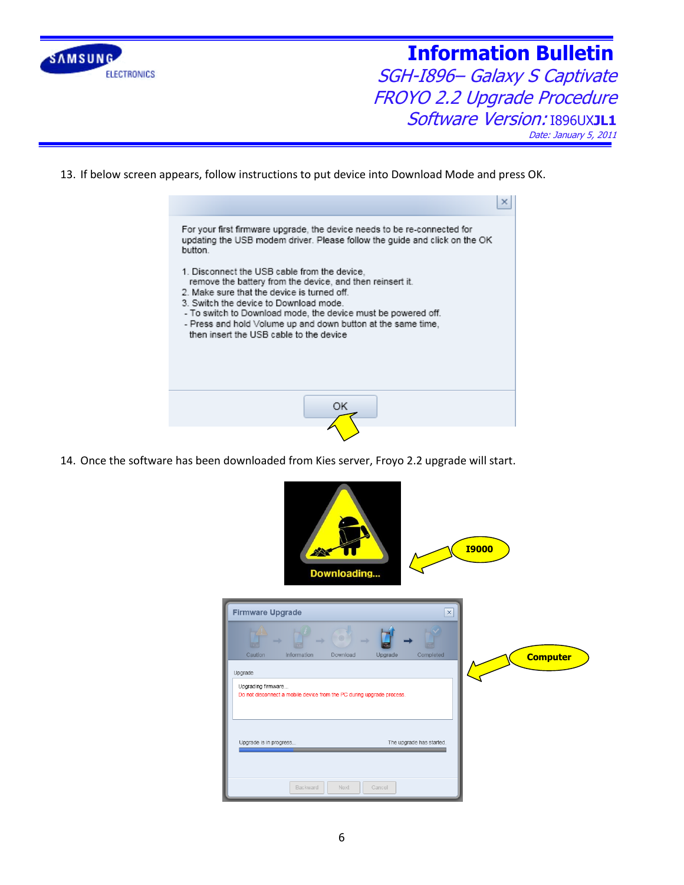

SGH-I896– Galaxy S Captivate FROYO 2.2 Upgrade Procedure Software Version: I896UX**JL1** Date: January 5, 2011

13. If below screen appears, follow instructions to put device into Download Mode and press OK.



14. Once the software has been downloaded from Kies server, Froyo 2.2 upgrade will start.